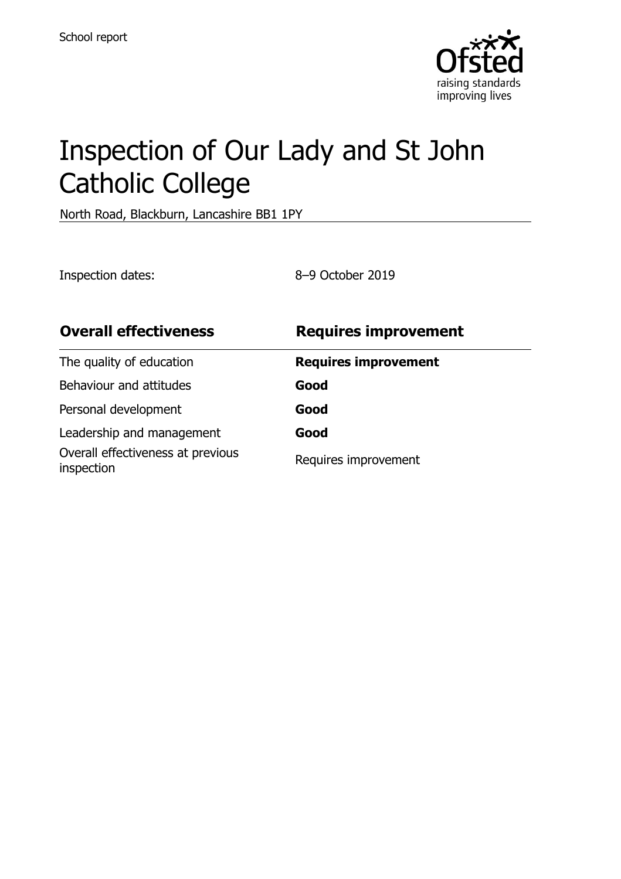

# Inspection of Our Lady and St John Catholic College

North Road, Blackburn, Lancashire BB1 1PY

Inspection dates: 8–9 October 2019

| <b>Overall effectiveness</b>                    | <b>Requires improvement</b> |
|-------------------------------------------------|-----------------------------|
| The quality of education                        | <b>Requires improvement</b> |
| Behaviour and attitudes                         | Good                        |
| Personal development                            | Good                        |
| Leadership and management                       | Good                        |
| Overall effectiveness at previous<br>inspection | Requires improvement        |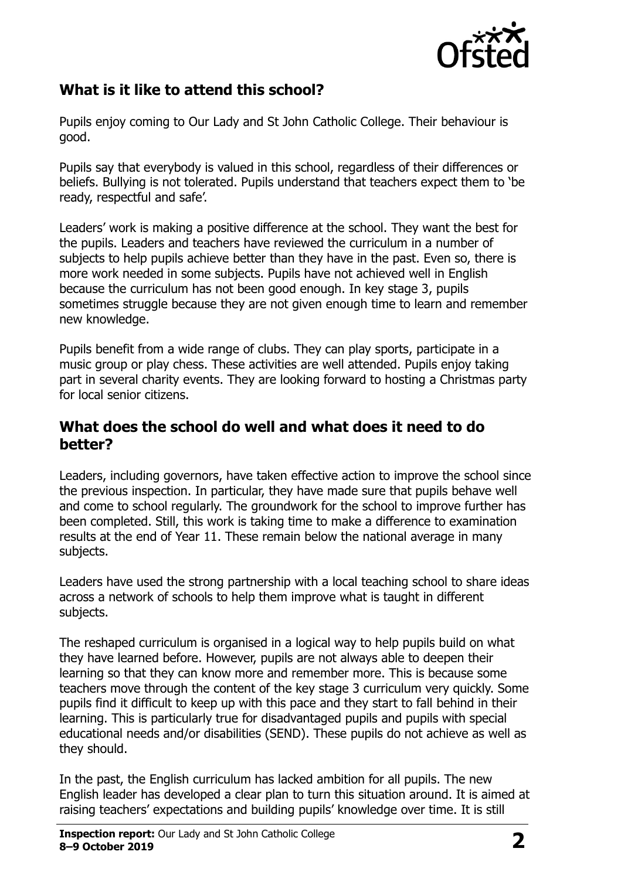

# **What is it like to attend this school?**

Pupils enjoy coming to Our Lady and St John Catholic College. Their behaviour is good.

Pupils say that everybody is valued in this school, regardless of their differences or beliefs. Bullying is not tolerated. Pupils understand that teachers expect them to 'be ready, respectful and safe'.

Leaders' work is making a positive difference at the school. They want the best for the pupils. Leaders and teachers have reviewed the curriculum in a number of subjects to help pupils achieve better than they have in the past. Even so, there is more work needed in some subjects. Pupils have not achieved well in English because the curriculum has not been good enough. In key stage 3, pupils sometimes struggle because they are not given enough time to learn and remember new knowledge.

Pupils benefit from a wide range of clubs. They can play sports, participate in a music group or play chess. These activities are well attended. Pupils enjoy taking part in several charity events. They are looking forward to hosting a Christmas party for local senior citizens.

#### **What does the school do well and what does it need to do better?**

Leaders, including governors, have taken effective action to improve the school since the previous inspection. In particular, they have made sure that pupils behave well and come to school regularly. The groundwork for the school to improve further has been completed. Still, this work is taking time to make a difference to examination results at the end of Year 11. These remain below the national average in many subjects.

Leaders have used the strong partnership with a local teaching school to share ideas across a network of schools to help them improve what is taught in different subjects.

The reshaped curriculum is organised in a logical way to help pupils build on what they have learned before. However, pupils are not always able to deepen their learning so that they can know more and remember more. This is because some teachers move through the content of the key stage 3 curriculum very quickly. Some pupils find it difficult to keep up with this pace and they start to fall behind in their learning. This is particularly true for disadvantaged pupils and pupils with special educational needs and/or disabilities (SEND). These pupils do not achieve as well as they should.

In the past, the English curriculum has lacked ambition for all pupils. The new English leader has developed a clear plan to turn this situation around. It is aimed at raising teachers' expectations and building pupils' knowledge over time. It is still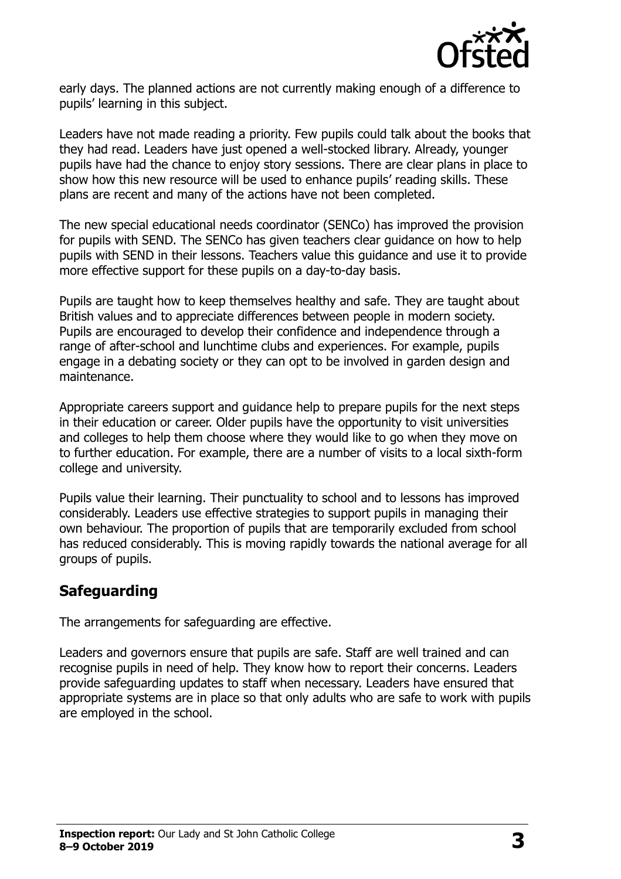

early days. The planned actions are not currently making enough of a difference to pupils' learning in this subject.

Leaders have not made reading a priority. Few pupils could talk about the books that they had read. Leaders have just opened a well-stocked library. Already, younger pupils have had the chance to enjoy story sessions. There are clear plans in place to show how this new resource will be used to enhance pupils' reading skills. These plans are recent and many of the actions have not been completed.

The new special educational needs coordinator (SENCo) has improved the provision for pupils with SEND. The SENCo has given teachers clear guidance on how to help pupils with SEND in their lessons. Teachers value this guidance and use it to provide more effective support for these pupils on a day-to-day basis.

Pupils are taught how to keep themselves healthy and safe. They are taught about British values and to appreciate differences between people in modern society. Pupils are encouraged to develop their confidence and independence through a range of after-school and lunchtime clubs and experiences. For example, pupils engage in a debating society or they can opt to be involved in garden design and maintenance.

Appropriate careers support and guidance help to prepare pupils for the next steps in their education or career. Older pupils have the opportunity to visit universities and colleges to help them choose where they would like to go when they move on to further education. For example, there are a number of visits to a local sixth-form college and university.

Pupils value their learning. Their punctuality to school and to lessons has improved considerably. Leaders use effective strategies to support pupils in managing their own behaviour. The proportion of pupils that are temporarily excluded from school has reduced considerably. This is moving rapidly towards the national average for all groups of pupils.

#### **Safeguarding**

The arrangements for safeguarding are effective.

Leaders and governors ensure that pupils are safe. Staff are well trained and can recognise pupils in need of help. They know how to report their concerns. Leaders provide safeguarding updates to staff when necessary. Leaders have ensured that appropriate systems are in place so that only adults who are safe to work with pupils are employed in the school.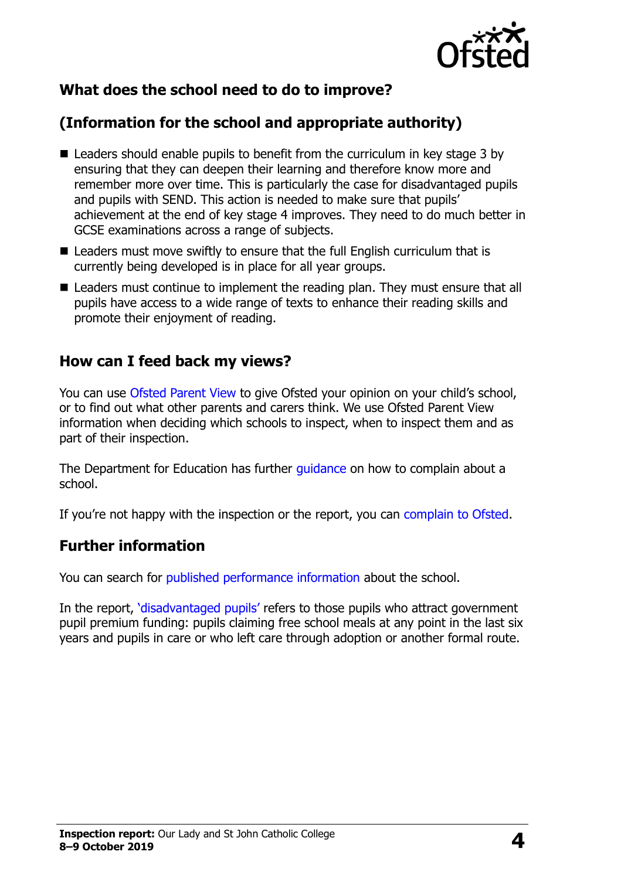

# **What does the school need to do to improve?**

# **(Information for the school and appropriate authority)**

- Leaders should enable pupils to benefit from the curriculum in key stage 3 by ensuring that they can deepen their learning and therefore know more and remember more over time. This is particularly the case for disadvantaged pupils and pupils with SEND. This action is needed to make sure that pupils' achievement at the end of key stage 4 improves. They need to do much better in GCSE examinations across a range of subjects.
- Leaders must move swiftly to ensure that the full English curriculum that is currently being developed is in place for all year groups.
- Leaders must continue to implement the reading plan. They must ensure that all pupils have access to a wide range of texts to enhance their reading skills and promote their enjoyment of reading.

#### **How can I feed back my views?**

You can use [Ofsted Parent View](http://parentview.ofsted.gov.uk/) to give Ofsted your opinion on your child's school, or to find out what other parents and carers think. We use Ofsted Parent View information when deciding which schools to inspect, when to inspect them and as part of their inspection.

The Department for Education has further quidance on how to complain about a school.

If you're not happy with the inspection or the report, you can [complain to Ofsted.](http://www.gov.uk/complain-ofsted-report)

#### **Further information**

You can search for [published performance information](http://www.compare-school-performance.service.gov.uk/) about the school.

In the report, '[disadvantaged pupils](http://www.gov.uk/guidance/pupil-premium-information-for-schools-and-alternative-provision-settings)' refers to those pupils who attract government pupil premium funding: pupils claiming free school meals at any point in the last six years and pupils in care or who left care through adoption or another formal route.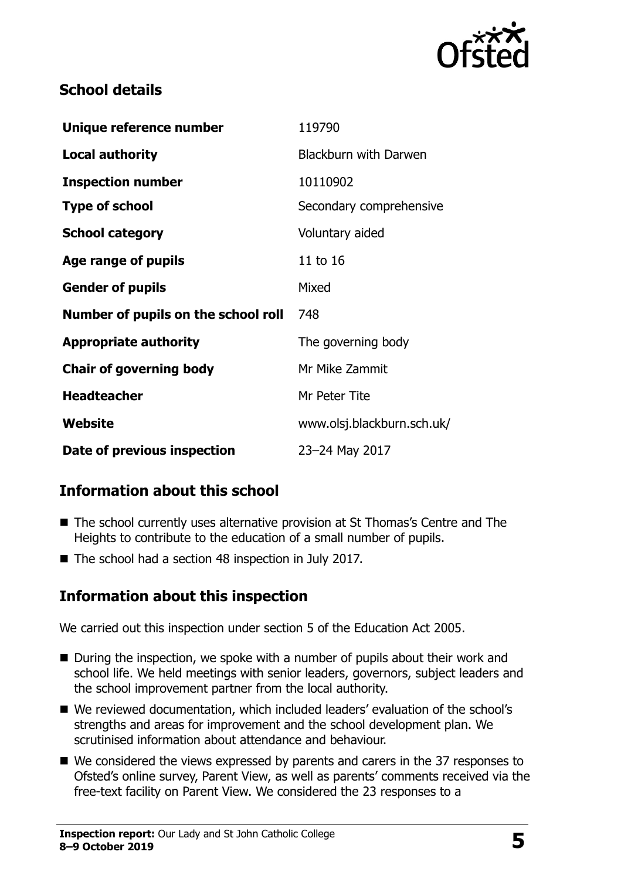

### **School details**

| Unique reference number             | 119790                       |
|-------------------------------------|------------------------------|
| <b>Local authority</b>              | <b>Blackburn with Darwen</b> |
| <b>Inspection number</b>            | 10110902                     |
| <b>Type of school</b>               | Secondary comprehensive      |
| <b>School category</b>              | Voluntary aided              |
| Age range of pupils                 | 11 to 16                     |
| <b>Gender of pupils</b>             | Mixed                        |
| Number of pupils on the school roll | 748                          |
| <b>Appropriate authority</b>        | The governing body           |
| <b>Chair of governing body</b>      | Mr Mike Zammit               |
| <b>Headteacher</b>                  | Mr Peter Tite                |
| Website                             | www.olsj.blackburn.sch.uk/   |
| Date of previous inspection         | 23-24 May 2017               |

# **Information about this school**

- The school currently uses alternative provision at St Thomas's Centre and The Heights to contribute to the education of a small number of pupils.
- The school had a section 48 inspection in July 2017.

# **Information about this inspection**

We carried out this inspection under section 5 of the Education Act 2005.

- During the inspection, we spoke with a number of pupils about their work and school life. We held meetings with senior leaders, governors, subject leaders and the school improvement partner from the local authority.
- We reviewed documentation, which included leaders' evaluation of the school's strengths and areas for improvement and the school development plan. We scrutinised information about attendance and behaviour.
- We considered the views expressed by parents and carers in the 37 responses to Ofsted's online survey, Parent View, as well as parents' comments received via the free-text facility on Parent View. We considered the 23 responses to a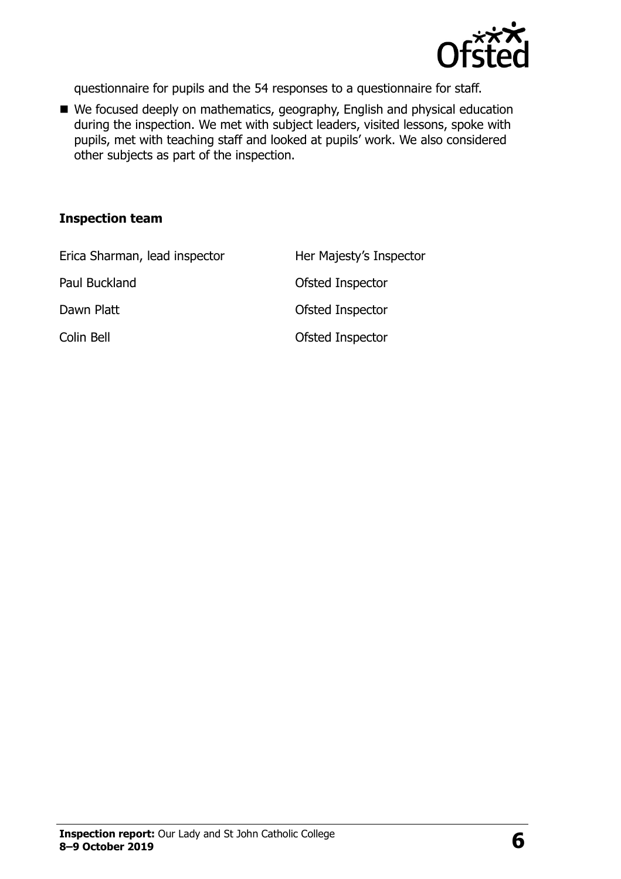

questionnaire for pupils and the 54 responses to a questionnaire for staff.

■ We focused deeply on mathematics, geography, English and physical education during the inspection. We met with subject leaders, visited lessons, spoke with pupils, met with teaching staff and looked at pupils' work. We also considered other subjects as part of the inspection.

#### **Inspection team**

| Erica Sharman, lead inspector | Her Majesty's Inspector |
|-------------------------------|-------------------------|
| Paul Buckland                 | Ofsted Inspector        |
| Dawn Platt                    | Ofsted Inspector        |
| Colin Bell                    | Ofsted Inspector        |